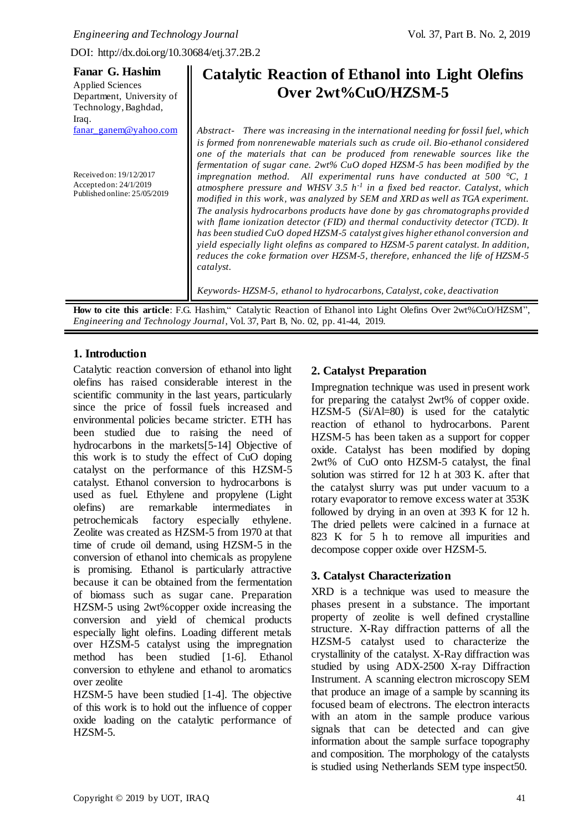**Fanar G. Hashim** 

DOI: http://dx.doi.org/10.30684/etj.37.2B.2

 $\mathbf{H}$ 

| Fanar G. Hashim                                                                   | <b>Catalytic Reaction of Ethanol into Light Olefins</b>                                                                                                                                                                                                                                                                                                                                                                                                                                                                                                                                                                                                                                          |  |  |  |
|-----------------------------------------------------------------------------------|--------------------------------------------------------------------------------------------------------------------------------------------------------------------------------------------------------------------------------------------------------------------------------------------------------------------------------------------------------------------------------------------------------------------------------------------------------------------------------------------------------------------------------------------------------------------------------------------------------------------------------------------------------------------------------------------------|--|--|--|
| <b>Applied Sciences</b>                                                           |                                                                                                                                                                                                                                                                                                                                                                                                                                                                                                                                                                                                                                                                                                  |  |  |  |
| Department, University of                                                         | Over 2wt%CuO/HZSM-5                                                                                                                                                                                                                                                                                                                                                                                                                                                                                                                                                                                                                                                                              |  |  |  |
| Technology, Baghdad,                                                              |                                                                                                                                                                                                                                                                                                                                                                                                                                                                                                                                                                                                                                                                                                  |  |  |  |
| Iraq.                                                                             |                                                                                                                                                                                                                                                                                                                                                                                                                                                                                                                                                                                                                                                                                                  |  |  |  |
| fanar ganem@yahoo.com                                                             | Abstract- There was increasing in the international needing for fossil fuel, which<br>is formed from nonrenewable materials such as crude oil. Bio-ethanol considered<br>one of the materials that can be produced from renewable sources like the<br>fermentation of sugar cane. 2wt% CuO doped HZSM-5 has been modified by the                                                                                                                                                                                                                                                                                                                                                                 |  |  |  |
| Received on: 19/12/2017<br>Accepted on: 24/1/2019<br>Published online: 25/05/2019 | impregnation method. All experimental runs have conducted at 500 $^{\circ}$ C, 1<br>atmosphere pressure and WHSV 3.5 $h^{-1}$ in a fixed bed reactor. Catalyst, which<br>modified in this work, was analyzed by SEM and XRD as well as TGA experiment.<br>The analysis hydrocarbons products have done by gas chromatographs provided<br>with flame ionization detector (FID) and thermal conductivity detector (TCD). It<br>has been studied CuO doped HZSM-5 catalyst gives higher ethanol conversion and<br>yield especially light olefins as compared to HZSM-5 parent catalyst. In addition,<br>reduces the coke formation over HZSM-5, therefore, enhanced the life of HZSM-5<br>catalyst. |  |  |  |
|                                                                                   | Keywords-HZSM-5, ethanol to hydrocarbons, Catalyst, coke, deactivation                                                                                                                                                                                                                                                                                                                                                                                                                                                                                                                                                                                                                           |  |  |  |

**How to cite this article**: F.G. Hashim," Catalytic Reaction of Ethanol into Light Olefins Over 2wt%CuO/HZSM", *Engineering and Technology Journal*, Vol. 37, Part B, No. 02, pp. 41-44, 2019.

# **1. Introduction**

Catalytic reaction conversion of ethanol into light olefins has raised considerable interest in the scientific community in the last years, particularly since the price of fossil fuels increased and environmental policies became stricter. ETH has been studied due to raising the need of hydrocarbons in the markets[5-14] Objective of this work is to study the effect of CuO doping catalyst on the performance of this HZSM-5 catalyst. Ethanol conversion to hydrocarbons is used as fuel. Ethylene and propylene (Light olefins) are remarkable intermediates in petrochemicals factory especially ethylene. Zeolite was created as HZSM-5 from 1970 at that time of crude oil demand, using HZSM-5 in the conversion of ethanol into chemicals as propylene is promising. Ethanol is particularly attractive because it can be obtained from the fermentation of biomass such as sugar cane. Preparation HZSM-5 using 2wt%copper oxide increasing the conversion and yield of chemical products especially light olefins. Loading different metals over HZSM-5 catalyst using the impregnation method has been studied [1-6]. Ethanol conversion to ethylene and ethanol to aromatics over zeolite

HZSM-5 have been studied [1-4]. The objective of this work is to hold out the influence of copper oxide loading on the catalytic performance of HZSM-5.

# **2. Catalyst Preparation**

Impregnation technique was used in present work for preparing the catalyst 2wt% of copper oxide. HZSM-5 (Si/Al=80) is used for the catalytic reaction of ethanol to hydrocarbons. Parent HZSM-5 has been taken as a support for copper oxide. Catalyst has been modified by doping 2wt% of CuO onto HZSM-5 catalyst, the final solution was stirred for 12 h at 303 K. after that the catalyst slurry was put under vacuum to a rotary evaporator to remove excess water at 353K followed by drying in an oven at 393 K for 12 h. The dried pellets were calcined in a furnace at 823 K for 5 h to remove all impurities and decompose copper oxide over HZSM-5.

# **3. Catalyst Characterization**

XRD is a technique was used to measure the phases present in a substance. The important property of zeolite is well defined crystalline structure. X-Ray diffraction patterns of all the HZSM-5 catalyst used to characterize the crystallinity of the catalyst. X-Ray diffraction was studied by using ADX-2500 X-ray Diffraction Instrument. A scanning electron microscopy SEM that produce an image of a sample by scanning its focused beam of electrons. The electron interacts with an atom in the sample produce various signals that can be detected and can give information about the sample surface topography and composition. The morphology of the catalysts is studied using Netherlands SEM type inspect50.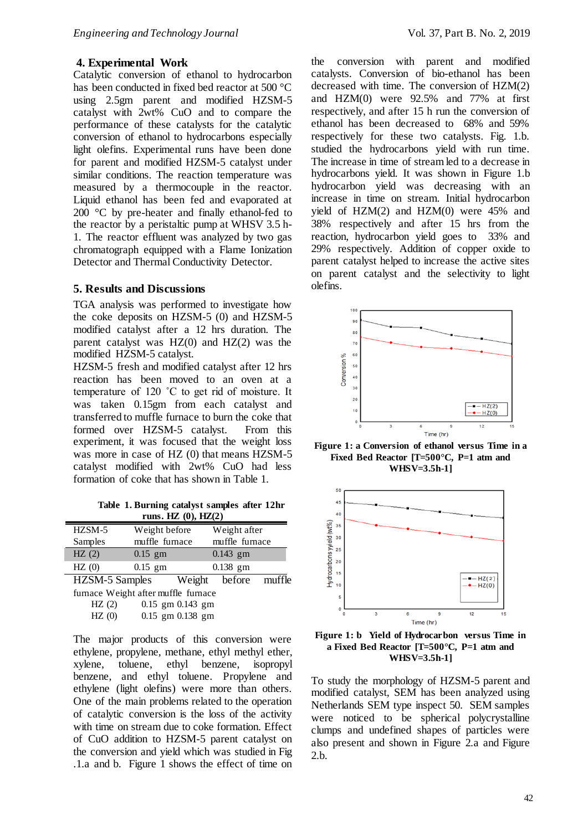## **4. Experimental Work**

Catalytic conversion of ethanol to hydrocarbon has been conducted in fixed bed reactor at 500 °C using 2.5gm parent and modified HZSM-5 catalyst with 2wt% CuO and to compare the performance of these catalysts for the catalytic conversion of ethanol to hydrocarbons especially light olefins. Experimental runs have been done for parent and modified HZSM-5 catalyst under similar conditions. The reaction temperature was measured by a thermocouple in the reactor. Liquid ethanol has been fed and evaporated at 200 °C by pre-heater and finally ethanol-fed to the reactor by a peristaltic pump at WHSV 3.5 h-1. The reactor effluent was analyzed by two gas chromatograph equipped with a Flame Ionization Detector and Thermal Conductivity Detector.

#### **5. Results and Discussions**

TGA analysis was performed to investigate how the coke deposits on HZSM-5 (0) and HZSM-5 modified catalyst after a 12 hrs duration. The parent catalyst was HZ(0) and HZ(2) was the modified HZSM-5 catalyst.

HZSM-5 fresh and modified catalyst after 12 hrs reaction has been moved to an oven at a temperature of 120 ˚C to get rid of moisture. It was taken 0.15gm from each catalyst and transferred to muffle furnace to burn the coke that formed over HZSM-5 catalyst. From this experiment, it was focused that the weight loss was more in case of HZ (0) that means HZSM-5 catalyst modified with 2wt% CuO had less formation of coke that has shown in Table 1.

**Table 1. Burning catalyst samples after 12hr runs. HZ (0), HZ(2)**

| HZSM-5         | Weight before  |        | Weight after   |        |
|----------------|----------------|--------|----------------|--------|
| Samples        | muffle furnace |        | muffle furnace |        |
| HZ(2)          | $0.15$ gm      |        | $0.143$ gm     |        |
| HZ(0)          | $0.15$ gm      |        | $0.138$ gm     |        |
| HZSM-5 Samples |                | Weight | before         | muffle |
|                |                | $\sim$ |                |        |

furnace Weight after muffle furnace HZ (2) 0.15 gm 0.143 gm HZ (0) 0.15 gm 0.138 gm

The major products of this conversion were ethylene, propylene, methane, ethyl methyl ether, xylene, toluene, ethyl benzene, isopropyl benzene, and ethyl toluene. Propylene and ethylene (light olefins) were more than others. One of the main problems related to the operation of catalytic conversion is the loss of the activity with time on stream due to coke formation. Effect of CuO addition to HZSM-5 parent catalyst on the conversion and yield which was studied in Fig .1.a and b. Figure 1 shows the effect of time on

the conversion with parent and modified catalysts. Conversion of bio-ethanol has been decreased with time. The conversion of HZM(2) and HZM(0) were 92.5% and 77% at first respectively, and after 15 h run the conversion of ethanol has been decreased to 68% and 59% respectively for these two catalysts. Fig. 1.b. studied the hydrocarbons yield with run time. The increase in time of stream led to a decrease in hydrocarbons yield. It was shown in Figure 1.b hydrocarbon yield was decreasing with an increase in time on stream. Initial hydrocarbon yield of  $HZM(2)$  and  $HZM(0)$  were 45% and 38% respectively and after 15 hrs from the reaction, hydrocarbon yield goes to 33% and 29% respectively. Addition of copper oxide to parent catalyst helped to increase the active sites on parent catalyst and the selectivity to light olefins.



**Figure 1: a Conversion of ethanol versus Time in a Fixed Bed Reactor [T=500°C, P=1 atm and WHSV=3.5h-1]**





To study the morphology of HZSM-5 parent and modified catalyst, SEM has been analyzed using Netherlands SEM type inspect 50. SEM samples were noticed to be spherical polycrystalline clumps and undefined shapes of particles were also present and shown in Figure 2.a and Figure 2.b.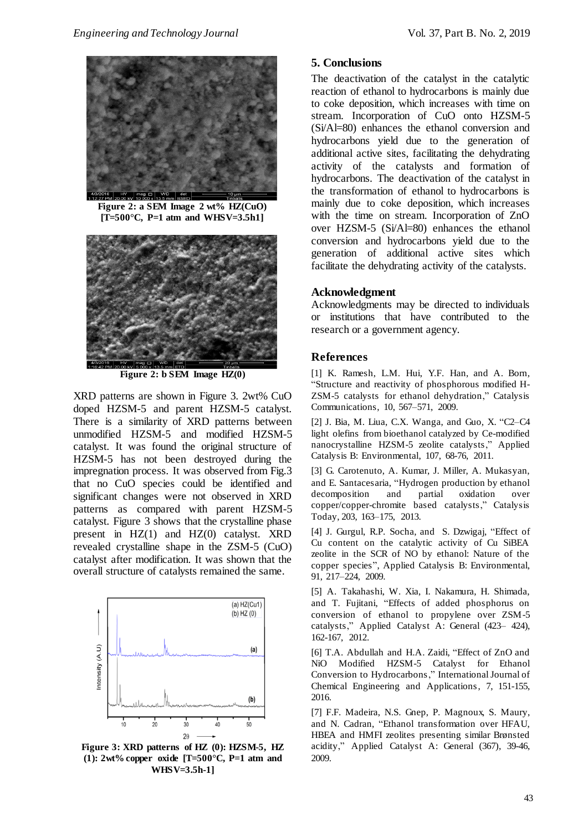



**Figure 2: a SEM Image 2 wt% HZ(CuO) [T=500°C, P=1 atm and WHSV=3.5h1]**



**Figure 2: b SEM Image HZ(0)**

XRD patterns are shown in Figure 3. 2wt% CuO doped HZSM-5 and parent HZSM-5 catalyst. There is a similarity of XRD patterns between unmodified HZSM-5 and modified HZSM-5 catalyst. It was found the original structure of HZSM-5 has not been destroyed during the impregnation process. It was observed from Fig.3 that no CuO species could be identified and significant changes were not observed in XRD patterns as compared with parent HZSM-5 catalyst. Figure 3 shows that the crystalline phase present in HZ(1) and HZ(0) catalyst. XRD revealed crystalline shape in the ZSM-5 (CuO) catalyst after modification. It was shown that the overall structure of catalysts remained the same.



**Figure 3: XRD patterns of HZ (0): HZSM-5, HZ (1): 2wt% copper oxide [T=500°C, P=1 atm and WHSV=3.5h-1]**

# **5. Conclusions**

The deactivation of the catalyst in the catalytic reaction of ethanol to hydrocarbons is mainly due to coke deposition, which increases with time on stream. Incorporation of CuO onto HZSM-5 (Si/Al=80) enhances the ethanol conversion and hydrocarbons yield due to the generation of additional active sites, facilitating the dehydrating activity of the catalysts and formation of hydrocarbons. The deactivation of the catalyst in the transformation of ethanol to hydrocarbons is mainly due to coke deposition, which increases with the time on stream. Incorporation of ZnO over HZSM-5 (Si/Al=80) enhances the ethanol conversion and hydrocarbons yield due to the generation of additional active sites which facilitate the dehydrating activity of the catalysts.

## **Acknowledgment**

Acknowledgments may be directed to individuals or institutions that have contributed to the research or a government agency.

## **References**

[1] K. Ramesh, L.M. Hui, Y.F. Han, and A. Born, "Structure and reactivity of phosphorous modified H-ZSM-5 catalysts for ethanol dehydration," Catalysis Communications, 10, 567–571, 2009.

[2] J. Bia, M. Liua, C.X. Wanga, and Guo, X. "C2–C4 light olefins from bioethanol catalyzed by Ce-modified nanocrystalline HZSM-5 zeolite catalysts," Applied Catalysis B: Environmental, 107, 68-76, 2011.

[3] G. Carotenuto, A. Kumar, J. Miller, A. Mukasyan, and E. Santacesaria, "Hydrogen production by ethanol<br>decomposition and partial oxidation over decomposition and partial oxidation over copper/copper-chromite based catalysts," Catalysis Today, 203, 163–175, 2013.

[4] J. Gurgul, R.P. Socha, and S. Dzwigaj, "Effect of Cu content on the catalytic activity of Cu SiBEA zeolite in the SCR of NO by ethanol: Nature of the copper species", Applied Catalysis B: Environmental, 91, 217–224, 2009.

[5] A. Takahashi, W. Xia, I. Nakamura, H. Shimada, and T. Fujitani, "Effects of added phosphorus on conversion of ethanol to propylene over ZSM-5 catalysts," Applied Catalyst A: General (423– 424), 162-167, 2012.

[6] T.A. Abdullah and H.A. Zaidi, "Effect of ZnO and NiO Modified HZSM-5 Catalyst for Ethanol Conversion to Hydrocarbons," International Journal of Chemical Engineering and Applications, 7, 151-155, 2016.

[7] F.F. Madeira, N.S. Gnep, P. Magnoux, S. Maury, and N. Cadran, "Ethanol transformation over HFAU, HBEA and HMFI zeolites presenting similar Brønsted acidity," Applied Catalyst A: General (367), 39-46, 2009.